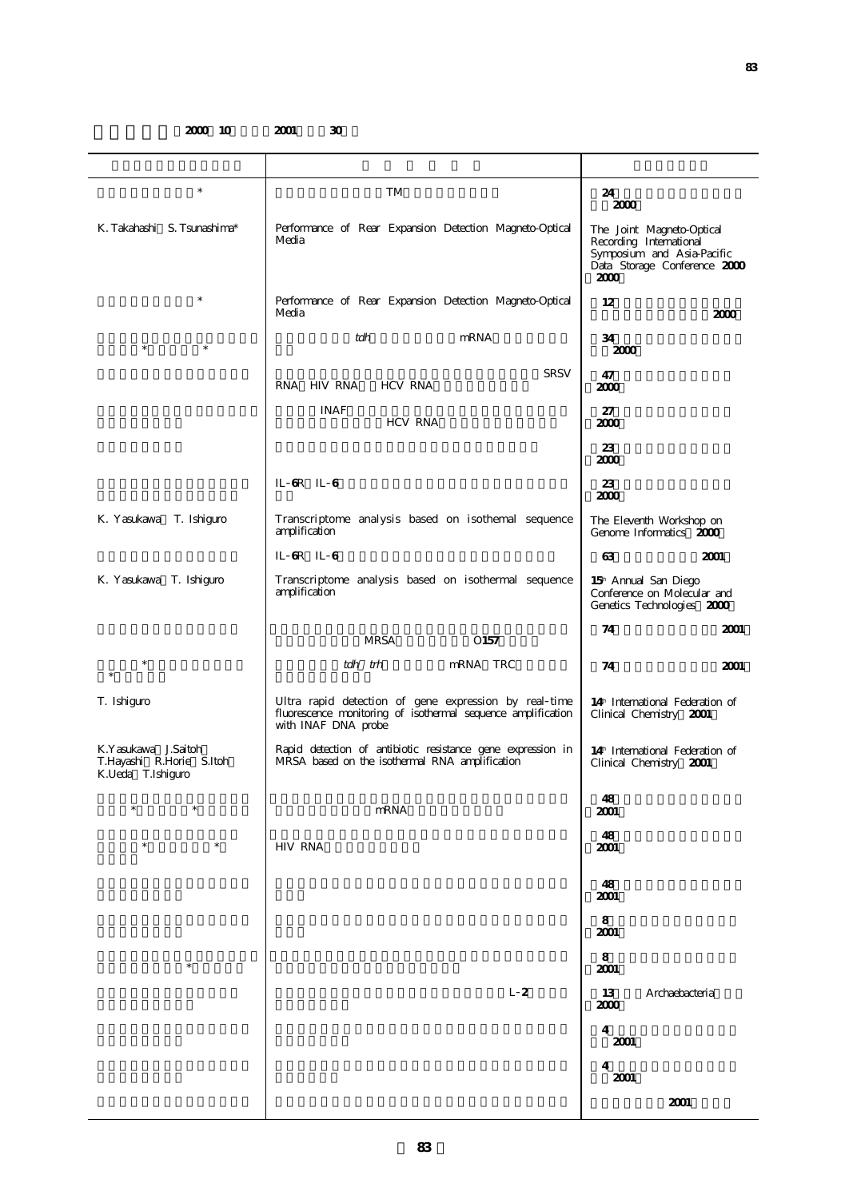**2000 10 2001 30** 

| $\ast$                                                               | TM                                                                                                                                           | 24<br>2000                                                                                                                 |
|----------------------------------------------------------------------|----------------------------------------------------------------------------------------------------------------------------------------------|----------------------------------------------------------------------------------------------------------------------------|
| K. Takahashi S. Tsunashima*                                          | Performance of Rear Expansion Detection Magneto-Optical<br>Media                                                                             | The Joint Magneto-Optical<br>Recording International<br>Symposium and Asia-Pacific<br>Data Storage Conference 2000<br>2000 |
| $\ast$                                                               | Performance of Rear Expansion Detection Magneto-Optical<br>Media                                                                             | 12<br>2000                                                                                                                 |
| $\ast$                                                               | tdh<br>mRNA                                                                                                                                  | 34<br>2000                                                                                                                 |
|                                                                      | <b>SRSV</b><br>RNA HIV RNA<br><b>HCV RNA</b>                                                                                                 | 47<br>2000                                                                                                                 |
|                                                                      | <b>INAF</b><br><b>HCV RNA</b>                                                                                                                | 27<br>2000                                                                                                                 |
|                                                                      |                                                                                                                                              | 23<br>2000                                                                                                                 |
|                                                                      | IL 6R IL 6                                                                                                                                   | 23<br>2000                                                                                                                 |
| K. Yasukawa T. Ishiguro                                              | Transcriptome analysis based on isothemal sequence<br>amplification                                                                          | The Eleventh Workshop on<br>Genome Informatics 2000                                                                        |
|                                                                      | IL 6R IL 6                                                                                                                                   | 63<br>2001                                                                                                                 |
| K. Yasukawa T. Ishiguro                                              | Transcriptome analysis based on isothermal sequence<br>amplification                                                                         | 15 <sup>th</sup> Annual San Diego<br>Conference on Molecular and<br>Genetics Technologies 2000                             |
|                                                                      |                                                                                                                                              | 74<br>2001                                                                                                                 |
|                                                                      | <b>MRSA</b><br>O <sub>157</sub>                                                                                                              |                                                                                                                            |
| $\ast$                                                               | tdh trh<br>mRNA TRC                                                                                                                          | 2001<br>74                                                                                                                 |
| T. Ishiguro                                                          | Ultra rapid detection of gene expression by real time<br>fluorescence monitoring of isothermal sequence amplification<br>with INAF DNA probe | 14 <sup>th</sup> International Federation of<br>Clinical Chemistry 2001                                                    |
| K.Yasukawa J.Saitoh<br>T.Hayashi R.Horie S.Itoh<br>K.Ueda T.Ishiguro | Rapid detection of antibiotic resistance gene expression in<br>MRSA based on the isothermal RNA amplification                                | 14 <sup>th</sup> International Federation of<br>Clinical Chemistry 2001                                                    |
| $\ast$                                                               | mRNA                                                                                                                                         | 48<br>2001                                                                                                                 |
| $\ast$<br>$\ast$                                                     | <b>HIV RNA</b>                                                                                                                               | 48<br>2001                                                                                                                 |
|                                                                      |                                                                                                                                              | 48<br>2001                                                                                                                 |
|                                                                      |                                                                                                                                              | 8<br>2001                                                                                                                  |
| $\ast$                                                               |                                                                                                                                              | 8<br>2001                                                                                                                  |
|                                                                      | L <sub>2</sub>                                                                                                                               | 13<br>Archaebacteria<br>2000                                                                                               |
|                                                                      |                                                                                                                                              | 4<br>2001                                                                                                                  |
|                                                                      |                                                                                                                                              | 4<br>2001                                                                                                                  |
|                                                                      |                                                                                                                                              | 2001                                                                                                                       |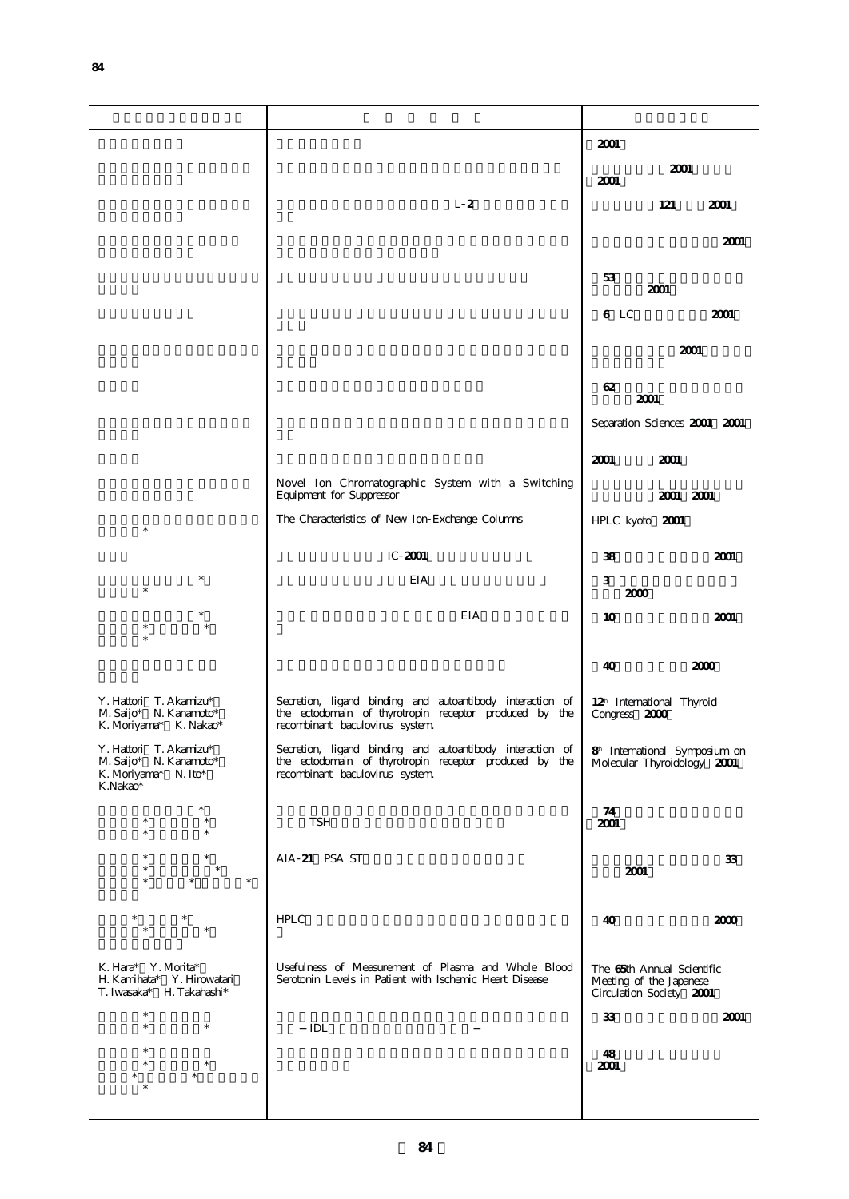|                                                                                   |                                                                                                                                                       | 2001                                                                              |      |
|-----------------------------------------------------------------------------------|-------------------------------------------------------------------------------------------------------------------------------------------------------|-----------------------------------------------------------------------------------|------|
|                                                                                   |                                                                                                                                                       | 2001                                                                              |      |
|                                                                                   |                                                                                                                                                       | 2001                                                                              |      |
|                                                                                   | L <sub>2</sub>                                                                                                                                        | 121                                                                               | 2001 |
|                                                                                   |                                                                                                                                                       |                                                                                   |      |
|                                                                                   |                                                                                                                                                       |                                                                                   | 2001 |
|                                                                                   |                                                                                                                                                       |                                                                                   |      |
|                                                                                   |                                                                                                                                                       | 53<br>2001                                                                        |      |
|                                                                                   |                                                                                                                                                       |                                                                                   |      |
|                                                                                   |                                                                                                                                                       | 6 LC                                                                              | 2001 |
|                                                                                   |                                                                                                                                                       | 2001                                                                              |      |
|                                                                                   |                                                                                                                                                       | 62                                                                                |      |
|                                                                                   |                                                                                                                                                       | 2001                                                                              |      |
|                                                                                   |                                                                                                                                                       | Separation Sciences 2001 2001                                                     |      |
|                                                                                   |                                                                                                                                                       | 2001<br>2001                                                                      |      |
|                                                                                   | Novel Ion Chromatographic System with a Switching<br>Equipment for Suppressor                                                                         | 2001 2001                                                                         |      |
| $\ast$                                                                            | The Characteristics of New Ion Exchange Columns                                                                                                       | HPLC kyoto 2001                                                                   |      |
|                                                                                   | IC 2001                                                                                                                                               | 38                                                                                | 2001 |
|                                                                                   | EIA                                                                                                                                                   | 3                                                                                 |      |
| $\ast$                                                                            |                                                                                                                                                       | 2000                                                                              |      |
|                                                                                   | EIA                                                                                                                                                   | 10                                                                                | 2001 |
|                                                                                   |                                                                                                                                                       |                                                                                   |      |
|                                                                                   |                                                                                                                                                       | 40                                                                                | 2000 |
|                                                                                   |                                                                                                                                                       |                                                                                   |      |
| Y. Hattori T. Akamizu*<br>M. Saijo* N. Kanamoto*<br>K. Moriyama* K. Nakao*        | Secretion, ligand binding and autoantibody interaction of<br>the ectodomain of thyrotropin receptor produced by the<br>recombinant baculovirus system | 12 <sup>h</sup> International Thyroid<br>Congress 2000                            |      |
| Y. Hattori T. Akamizu*<br>M. Saijo* N. Kanamoto*<br>K. Moriyama* N. Ito*          | Secretion, ligand binding and autoantibody interaction of<br>the ectodomain of thyrotropin receptor produced by the<br>recombinant baculovirus system | 8 <sup>h</sup> International Symposium on<br>Molecular Thyroidology 2001          |      |
| K.Nakao*                                                                          |                                                                                                                                                       |                                                                                   |      |
| $\ast$<br>$\ast$                                                                  |                                                                                                                                                       | 74                                                                                |      |
| $\ast$<br>×                                                                       | TSH                                                                                                                                                   | 2001                                                                              |      |
| $\ast$                                                                            | AIA 21 PSA ST                                                                                                                                         |                                                                                   | 33   |
| $\ast$<br>$\ast$                                                                  |                                                                                                                                                       | 2001                                                                              |      |
|                                                                                   |                                                                                                                                                       |                                                                                   |      |
|                                                                                   | <b>HPLC</b>                                                                                                                                           | 40                                                                                | 2000 |
|                                                                                   |                                                                                                                                                       |                                                                                   |      |
| K. Hara* Y. Morita*<br>H. Kamihata*<br>Y. Hirowatari<br>T. Iwasaka* H. Takahashi* | Usefulness of Measurement of Plasma and Whole Blood<br>Serotonin Levels in Patient with Ischemic Heart Disease                                        | The 65th Annual Scientific<br>Meeting of the Japanese<br>Circulation Society 2001 |      |
| $\ast$<br>$\ast$<br>$\ast$                                                        |                                                                                                                                                       | 33                                                                                | 2001 |
|                                                                                   | IDL                                                                                                                                                   |                                                                                   |      |
| ×<br>$\ast$                                                                       |                                                                                                                                                       | 48                                                                                |      |
|                                                                                   |                                                                                                                                                       | 2001                                                                              |      |
| ×                                                                                 |                                                                                                                                                       |                                                                                   |      |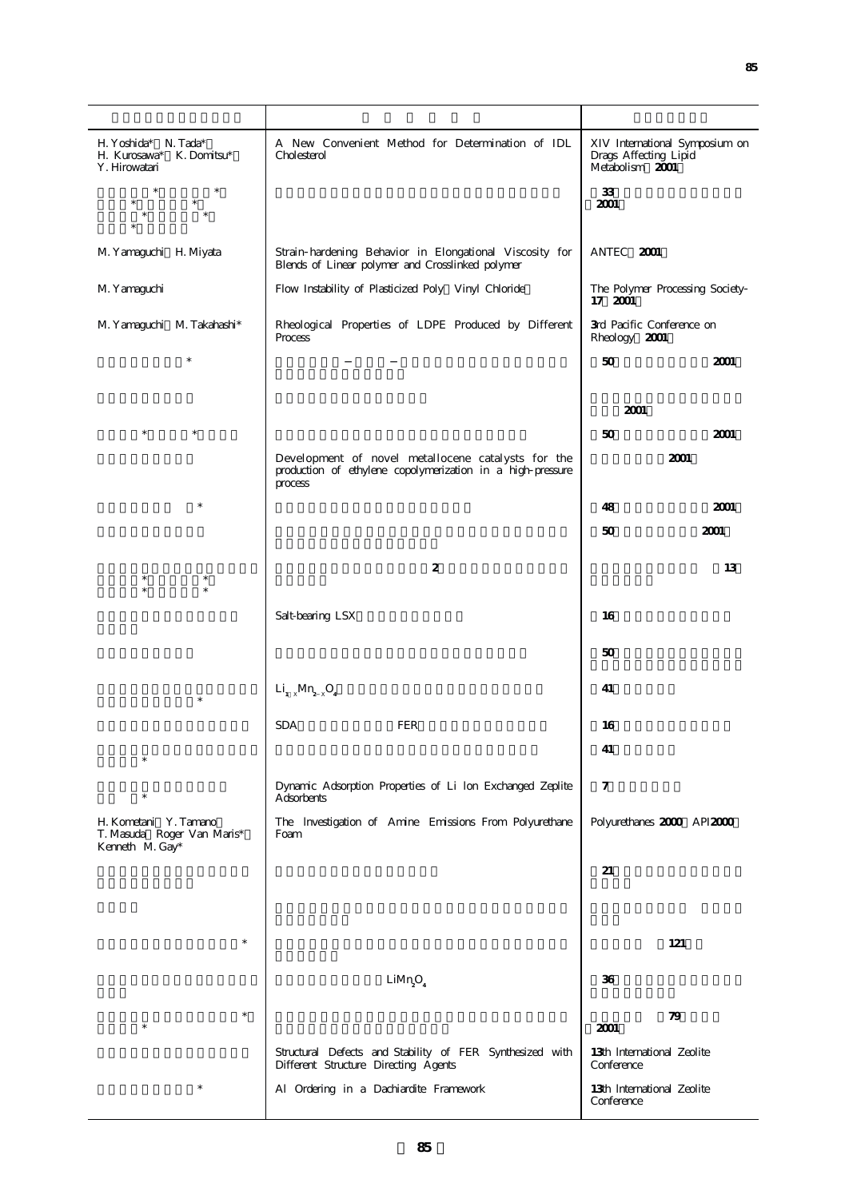| H. Yoshida* N. Tada*<br>H. Kurosawa* K. Domitsu*<br>Y. Hirowatari      | A New Convenient Method for Determination of IDL<br>Cholesterol                                                             | XIV International Symposium on<br>Drags Affecting Lipid<br>Metabolism 2001 |  |
|------------------------------------------------------------------------|-----------------------------------------------------------------------------------------------------------------------------|----------------------------------------------------------------------------|--|
|                                                                        |                                                                                                                             | 33<br>2001                                                                 |  |
| M. Yamaguchi H. Miyata                                                 | Strain hardening Behavior in Elongational Viscosity for<br>Blends of Linear polymer and Crosslinked polymer                 | ANTEC 2001                                                                 |  |
| M. Yamaguchi                                                           | Flow Instability of Plasticized Poly Vinyl Chloride                                                                         | The Polymer Processing Society<br>17 2001                                  |  |
| M. Yamaguchi M. Takahashi*                                             | Rheological Properties of LDPE Produced by Different<br>Process                                                             | 3rd Pacific Conference on<br>Rheology 2001                                 |  |
| $\ast$                                                                 |                                                                                                                             | 50<br>2001                                                                 |  |
|                                                                        |                                                                                                                             | 2001                                                                       |  |
|                                                                        |                                                                                                                             | 50<br>2001                                                                 |  |
|                                                                        | Development of novel metallocene catalysts for the<br>production of ethylene copolymerization in a high pressure<br>process | 2001                                                                       |  |
| $\ast$                                                                 |                                                                                                                             | 2001<br>48                                                                 |  |
|                                                                        |                                                                                                                             | 50<br>2001                                                                 |  |
|                                                                        | $\boldsymbol{2}$                                                                                                            | 13                                                                         |  |
|                                                                        | Salt-bearing LSX                                                                                                            | 16                                                                         |  |
|                                                                        |                                                                                                                             | 50                                                                         |  |
| $\ast$                                                                 | $Li_{1-x}Mn_{2-x}O_4$                                                                                                       | 41                                                                         |  |
|                                                                        | <b>SDA</b><br><b>FER</b>                                                                                                    | 16                                                                         |  |
|                                                                        |                                                                                                                             | 41                                                                         |  |
|                                                                        | Dynamic Adsorption Properties of Li lon Exchanged Zeplite<br>Adsorbents                                                     | $\tau$                                                                     |  |
| H. Kometani Y. Tamano<br>T. Masuda Roger Van Maris*<br>Kenneth M. Gay* | The Investigation of Amine Emissions From Polyurethane<br>Foam                                                              | Polyurethanes 2000 API2000                                                 |  |
|                                                                        |                                                                                                                             | 21                                                                         |  |
|                                                                        |                                                                                                                             |                                                                            |  |
| $\ast$                                                                 |                                                                                                                             | 121                                                                        |  |
|                                                                        | LiMn <sub>2</sub> O <sub>4</sub>                                                                                            | 36                                                                         |  |
| $\ast$<br>*                                                            |                                                                                                                             | 79<br>2001                                                                 |  |
|                                                                        | Structural Defects and Stability of FER Synthesized with<br>Different Structure Directing Agents                            | 13th International Zeolite<br>Conference                                   |  |
| $\ast$                                                                 | Al Ordering in a Dachiardite Framework                                                                                      | 13th International Zeolite<br>Conference                                   |  |